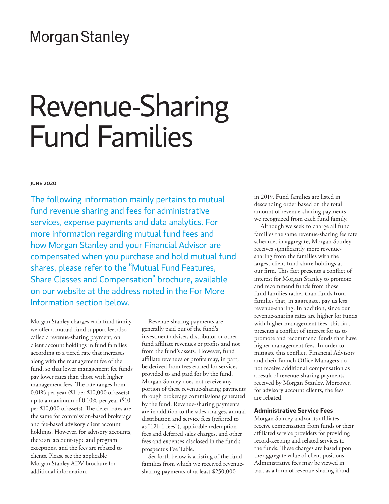# **Morgan Stanley**

# Revenue-Sharing Fund Families

#### JUNE 2020

The following information mainly pertains to mutual fund revenue sharing and fees for administrative services, expense payments and data analytics. For more information regarding mutual fund fees and how Morgan Stanley and your Financial Advisor are compensated when you purchase and hold mutual fund shares, please refer to the "Mutual Fund Features, Share Classes and Compensation" brochure, available on our website at the address noted in the For More Information section below.

Morgan Stanley charges each fund family we offer a mutual fund support fee, also called a revenue-sharing payment, on client account holdings in fund families according to a tiered rate that increases along with the management fee of the fund, so that lower management fee funds pay lower rates than those with higher management fees. The rate ranges from 0.01% per year (\$1 per \$10,000 of assets) up to a maximum of 0.10% per year (\$10 per \$10,000 of assets). The tiered rates are the same for commission-based brokerage and fee-based advisory client account holdings. However, for advisory accounts, there are account-type and program exceptions, and the fees are rebated to clients. Please see the applicable Morgan Stanley ADV brochure for additional information.

Revenue-sharing payments are generally paid out of the fund's investment adviser, distributor or other fund affiliate revenues or profits and not from the fund's assets. However, fund affiliate revenues or profits may, in part, be derived from fees earned for services provided to and paid for by the fund. Morgan Stanley does not receive any portion of these revenue-sharing payments through brokerage commissions generated by the fund. Revenue-sharing payments are in addition to the sales charges, annual distribution and service fees (referred to as "12b-1 fees"), applicable redemption fees and deferred sales charges, and other fees and expenses disclosed in the fund's prospectus Fee Table.

Set forth below is a listing of the fund families from which we received revenuesharing payments of at least \$250,000

in 2019. Fund families are listed in descending order based on the total amount of revenue-sharing payments we recognized from each fund family.

Although we seek to charge all fund families the same revenue-sharing fee rate schedule, in aggregate, Morgan Stanley receives significantly more revenuesharing from the families with the largest client fund share holdings at our firm. This fact presents a conflict of interest for Morgan Stanley to promote and recommend funds from those fund families rather than funds from families that, in aggregate, pay us less revenue-sharing. In addition, since our revenue-sharing rates are higher for funds with higher management fees, this fact presents a conflict of interest for us to promote and recommend funds that have higher management fees. In order to mitigate this conflict, Financial Advisors and their Branch Office Managers do not receive additional compensation as a result of revenue-sharing payments received by Morgan Stanley. Moreover, for advisory account clients, the fees are rebated.

# **Administrative Service Fees**

Morgan Stanley and/or its affiliates receive compensation from funds or their affiliated service providers for providing record-keeping and related services to the funds. These charges are based upon the aggregate value of client positions. Administrative fees may be viewed in part as a form of revenue-sharing if and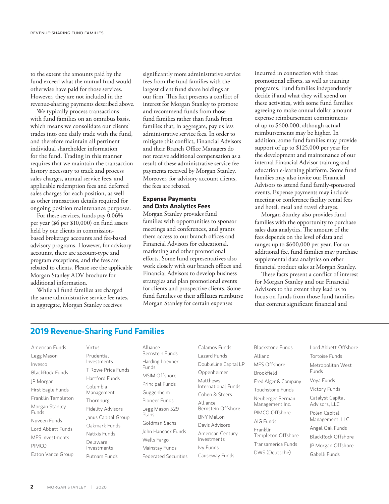to the extent the amounts paid by the fund exceed what the mutual fund would otherwise have paid for those services. However, they are not included in the revenue-sharing payments described above.

We typically process transactions with fund families on an omnibus basis, which means we consolidate our clients' trades into one daily trade with the fund, and therefore maintain all pertinent individual shareholder information for the fund. Trading in this manner requires that we maintain the transaction history necessary to track and process sales charges, annual service fees, and applicable redemption fees and deferred sales charges for each position, as well as other transaction details required for ongoing position maintenance purposes.

For these services, funds pay 0.06% per year (\$6 per \$10,000) on fund assets held by our clients in commissionbased brokerage accounts and fee-based advisory programs. However, for advisory accounts, there are account-type and program exceptions, and the fees are rebated to clients. Please see the applicable Morgan Stanley ADV brochure for additional information.

While all fund families are charged the same administrative service fee rates, in aggregate, Morgan Stanley receives

significantly more administrative service fees from the fund families with the largest client fund share holdings at our firm. This fact presents a conflict of interest for Morgan Stanley to promote and recommend funds from those fund families rather than funds from families that, in aggregate, pay us less administrative service fees. In order to mitigate this conflict, Financial Advisors and their Branch Office Managers do not receive additional compensation as a result of these administrative service fee payments received by Morgan Stanley. Moreover, for advisory account clients, the fees are rebated.

# **Expense Payments and Data Analytics Fees**

Morgan Stanley provides fund families with opportunities to sponsor meetings and conferences, and grants them access to our branch offices and Financial Advisors for educational, marketing and other promotional efforts. Some fund representatives also work closely with our branch offices and Financial Advisors to develop business strategies and plan promotional events for clients and prospective clients. Some fund families or their affiliates reimburse Morgan Stanley for certain expenses

incurred in connection with these promotional efforts, as well as training programs. Fund families independently decide if and what they will spend on these activities, with some fund families agreeing to make annual dollar amount expense reimbursement commitments of up to \$600,000, although actual reimbursements may be higher. In addition, some fund families may provide support of up to \$125,000 per year for the development and maintenance of our internal Financial Advisor training and education e-learning platform. Some fund families may also invite our Financial Advisors to attend fund family-sponsored events. Expense payments may include meeting or conference facility rental fees and hotel, meal and travel charges.

Morgan Stanley also provides fund families with the opportunity to purchase sales data analytics. The amount of the fees depends on the level of data and ranges up to \$600,000 per year. For an additional fee, fund families may purchase supplemental data analytics on other financial product sales at Morgan Stanley.

These facts present a conflict of interest for Morgan Stanley and our Financial Advisors to the extent they lead us to focus on funds from those fund families that commit significant financial and

# **2019 Revenue-Sharing Fund Families**

American Funds Legg Mason Invesco BlackRock Funds JP Morgan First Eagle Funds Franklin Templeton Morgan Stanley Funds Nuveen Funds Lord Abbett Funds MFS Investments PIMCO Eaton Vance Group Virtus Prudential Investments T Rowe Price Funds Hartford Funds Columbia Management Thornburg Fidelity Advisors Janus Capital Group Oakmark Funds Natixis Funds Delaware Investments Putnam Funds

Alliance Bernstein Funds Harding Loevner Funds MSIM Offshore Principal Funds Guggenheim Pioneer Funds Legg Mason 529 Plans Goldman Sachs John Hancock Funds Wells Fargo Mainstay Funds Federated Securities

Calamos Funds Lazard Funds DoubleLine Capital LP Oppenheimer Matthews International Funds Cohen & Steers Alliance Bernstein Offshore BNY Mellon Davis Advisors American Century Investments Ivy Funds Causeway Funds

Blackstone Funds Allianz MFS Offshore Brookfield Fred Alger & Company Touchstone Funds Neuberger Berman Management Inc. PIMCO Offshore AIG Funds Franklin Templeton Offshore Transamerica Funds DWS (Deutsche)

Lord Abbett Offshore Tortoise Funds Metropolitan West Funds Voya Funds Victory Funds Catalyst Capital Advisors, LLC Polen Capital Management, LLC Angel Oak Funds BlackRock Offshore JP Morgan Offshore Gabelli Funds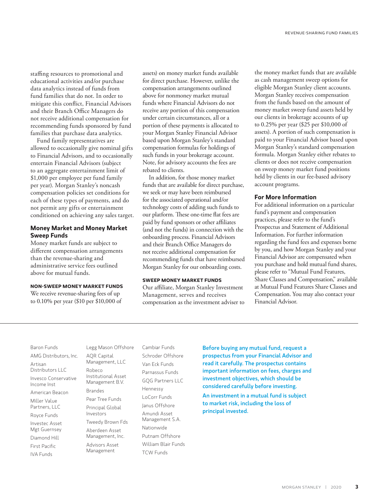staffing resources to promotional and educational activities and/or purchase data analytics instead of funds from fund families that do not. In order to mitigate this conflict, Financial Advisors and their Branch Office Managers do not receive additional compensation for recommending funds sponsored by fund families that purchase data analytics.

Fund family representatives are allowed to occasionally give nominal gifts to Financial Advisors, and to occasionally entertain Financial Advisors (subject to an aggregate entertainment limit of \$1,000 per employee per fund family per year). Morgan Stanley's noncash compensation policies set conditions for each of these types of payments, and do not permit any gifts or entertainment conditioned on achieving any sales target.

## **Money Market and Money Market Sweep Funds**

Money market funds are subject to different compensation arrangements than the revenue-sharing and administrative service fees outlined above for mutual funds.

## **NON-SWEEP MONEY MARKET FUNDS**

We receive revenue-sharing fees of up to 0.10% per year (\$10 per \$10,000 of

assets) on money market funds available for direct purchase. However, unlike the compensation arrangements outlined above for nonmoney market mutual funds where Financial Advisors do not receive any portion of this compensation under certain circumstances, all or a portion of these payments is allocated to your Morgan Stanley Financial Advisor based upon Morgan Stanley's standard compensation formulas for holdings of such funds in your brokerage account. Note, for advisory accounts the fees are rebated to clients.

In addition, for those money market funds that are available for direct purchase, we seek or may have been reimbursed for the associated operational and/or technology costs of adding such funds to our platform. These one-time flat fees are paid by fund sponsors or other affiliates (and not the funds) in connection with the onboarding process. Financial Advisors and their Branch Office Managers do not receive additional compensation for recommending funds that have reimbursed Morgan Stanley for our onboarding costs.

# **SWEEP MONEY MARKET FUNDS**

Our affiliate, Morgan Stanley Investment Management, serves and receives compensation as the investment adviser to the money market funds that are available as cash management sweep options for eligible Morgan Stanley client accounts. Morgan Stanley receives compensation from the funds based on the amount of money market sweep fund assets held by our clients in brokerage accounts of up to 0.25% per year (\$25 per \$10,000 of assets). A portion of such compensation is paid to your Financial Advisor based upon Morgan Stanley's standard compensation formula. Morgan Stanley either rebates to clients or does not receive compensation on sweep money market fund positions held by clients in our fee-based advisory account programs.

### **For More Information**

For additional information on a particular fund's payment and compensation practices, please refer to the fund's Prospectus and Statement of Additional Information. For further information regarding the fund fees and expenses borne by you, and how Morgan Stanley and your Financial Advisor are compensated when you purchase and hold mutual fund shares, please refer to "Mutual Fund Features, Share Classes and Compensation," available at Mutual Fund Features Share Classes and Compensation. You may also contact your Financial Advisor.

Baron Funds AMG Distributors, Inc. Artisan Distributors LLC Invesco Conservative Income Inst American Beacon Miller Value Partners, LLC Royce Funds Investec Asset Mgt Guernsey Diamond Hill First Pacific IVA Funds

Legg Mason Offshore AQR Capital Management, LLC Robeco Institutional Asset Management B.V. Brandes Pear Tree Funds Principal Global Investors Tweedy Brown Fds Aberdeen Asset Management, Inc. Advisors Asset Management

Cambiar Funds Schroder Offshore Van Eck Funds Parnassus Funds GQG Partners LLC Hennessy LoCorr Funds Janus Offshore Amundi Asset Management S.A. Nationwide Putnam Offshore William Blair Funds TCW Funds

Before buying any mutual fund, request a prospectus from your Financial Advisor and read it carefully. The prospectus contains important information on fees, charges and investment objectives, which should be considered carefully before investing.

An investment in a mutual fund is subject to market risk, including the loss of principal invested.